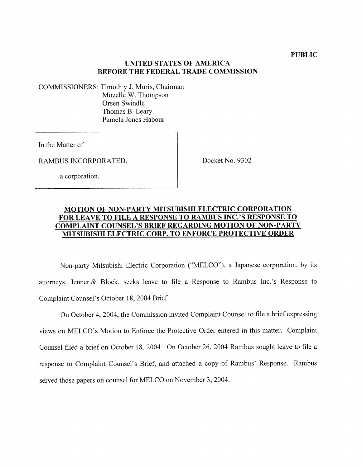COMMISSIONERS: Timoth y J. Muris, Chairman Mozelle W. Thompson Orsen Swindle Thomas B. Leary Pamela Jones Habour

In the Matter of

RAMBUS INCORPORATED,

Docket No. 9302

a corporation.

## **MOTION OF NON-PARTY MITSUBISHI ELECTRIC CORPORATION FOR LEAVE TO FILE A RESPONSE TO RAMBUS INC.'S RESPONSE TO CONIPLAINT COUNSEL~S BRIEF REGARDING MOTION OF NON-PARTY MITSUBISHI ELECTRIC CORP. TO ENFORCE PROTECTIVE ORDER**

Non-party Mitsubishi Electric Corporation ("MELCO"), a Japanese corporation, by its attorneys, Jenner & Block, seeks leave to file a Response to Rambus Inc.'s Response to Complaint Counsel's October 18,2004 Brief.

On October 4,2004, the Commission invited Complaint Counsel to file a brief expressing views on MELCO's Motion to Enforce the Protective Order entered in this matter. Complaint Counsel filed a brief on October 18, 2004, On October 26, 2004 Rambus sought leave to file a response to Complaint Counsel's Brief, and attached a copy of Rambus' Response. Rambus served those papers on counsel for MELCO on November 3,2004.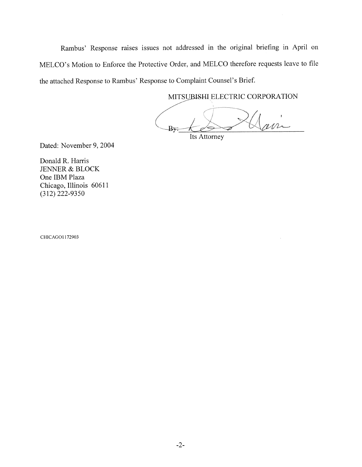Rambus' Response raises issues not addressed in the original briefing in April on MELCO's Motion to Enforce the Protective Order, and MELCO therefore requests leave to file the attached Response to Rambus' Response to Complaint Counsel's Brief.

MITSUBISHI ELECTRIC CORPORATION

ur  $Bv$ Its Attorney

Dated: November 9,2004

Donald R. Harris JENNER & BLOCK One IBM Plaza Chicago, Illinois 60611 (3 12) 222-9350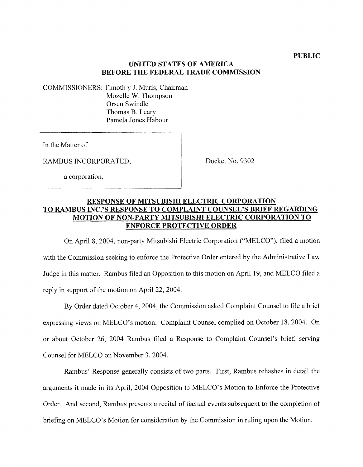COMMISSIONERS: Timoth y J. Muris, Chairman Mozelle W. Thompson Orsen Swindle Thomas B. Leary Pamela Jones Habour

In the Matter of

RAMBUS INCORPORATED,

Docket No. 9302

a corporation.

# **RESPONSE OF MITSUBISHI ELECTRIC CORPORATION TO RAMBUS INC.'S RESPONSE TO COMPLAINT COUNSEL'S BRIEF REGARDING MOTION OF NON-PARTY MITSUBISHI ELECTRIC CORPORATION TO ENFORCE PROTECTIVE ORDER**

On April 8, 2004, non-party Mitsubishi Electric Corporation ("MELCO"), filed a motion with the Commission seeking to enforce the Protective Order entered by the Administrative Law Judge in this matter. Rambus filed an Opposition to this motion on April 19, and MELCO filed a reply in support of the motion on April 22, 2004.

By Order dated October 4, 2004, the Commission asked Complaint Counsel to file a brief expressing views on MELCO's motion. Complaint Counsel complied on October 18, 2004. On or about October 26, 2004 Rambus filed a Response to Complaint Counsel's brief, serving Counsel for MELCO on November 3,2004.

Rambus' Response generally consists of two parts. First, Rarnbus rehashes in detail the arguments it made in its April, 2004 Opposition to MELCO's Motion to Enforce the Protective Order. And second, Rambus presents a recital of factual events subsequent to the completion of briefing on MELCO's Motion for consideration by the Commission in ruling upon the Motion.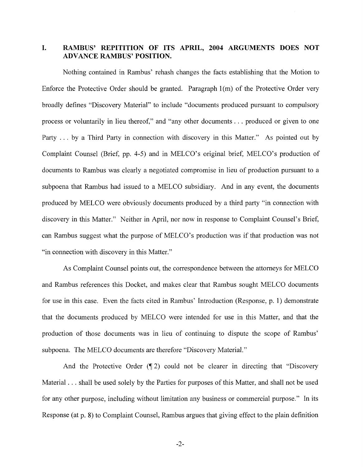# I. RAMBUS' REPITITION OF ITS APRIL, 2004 ARGUMENTS DOES NOT **ADVANCE RAMBUS' POSITION**

Nothing contained in Rambus' rehash changes the facts establishing that the Motion to Enforce the Protective Order should be granted. Paragraph l(m) of the Protective Order very broadly defines "Discovery Material" to include "documents produced pursuant to compulsory process or voluntarily in lieu thereof," and "any other documents . . . produced or given to one Party ... by a Third Party in connection with discovery in this Matter." As pointed out by Complaint Counsel (Brief, pp. 4-5) and in MELCO's original brief, MELCO's production of documents to Rambus was clearly a negotiated compromise in lieu of production pursuant to a subpoena that Rambus had issued to a MELCO subsidiary. And in any event, the documents produced by MELCO were obviously documents produced by a third party "in connection with discovery in this Matter." Neither in April, nor now in response to Complaint Counsel's Brief, can Rambus suggest what the purpose of MELCO's production was if that production was not "in connection with discovery in this Matter."

As Complaint Counsel points out, the correspondence between the attorneys for MELCO and Rambus references this Docket, and makes clear that Rambus sought MELCO documents for use in this case. Even the facts cited in Rambus' Introduction (Response, p. 1) demonstrate that the documents produced by MELCO were intended for use in this Matter, and that the production of those documents was in lieu of continuing to dispute the scope of Rambus' subpoena. The MELCO documents are therefore "Discovery Material."

And the Protective Order (12) could not be clearer in directing that "Discovery" Material . . . shall be used solely by the Parties for purposes of this Matter, and shall not be used for any other purpose, including without limitation any business or commercial purpose." In its Response (at p. 8) to Complaint Counsel, Rarnbus argues that giving effect to the plain definition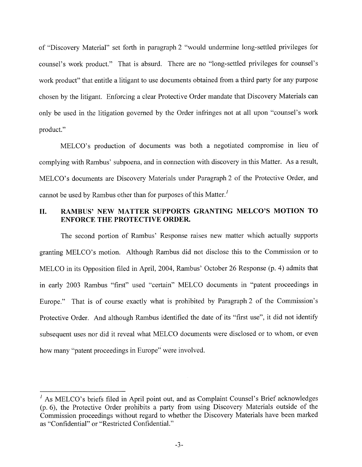of "Discovery Material" set forth in paragraph 2 "would undermine long-settled privileges for counsel's work product." That is absurd. There are no "long-settled privileges for counsel's work product" that entitle a litigant to use documents obtained from a third party for any purpose chosen by the litigant. Enforcing a clear Protective Order mandate that Discovery Materials can only be used in the litigation governed by the Order infringes not at all upon "counsel's work product."

MELCO's production of documents was both a negotiated compromise in lieu of complying with Rambus' subpoena, and in connection with discovery in this Matter. As a result, MELCO's documents are Discovery Materials under Paragraph 2 of the Protective Order, and cannot be used by Rambus other than for purposes of this Matter.<sup> $\ell$ </sup>

# **11. RAMBUS' NEW MATTER SUPPORTS GRANTING MELCO'S MOTION TO ENFORCE THE PROTECTIVE ORDER.**

The second portion of Rambus' Response raises new matter which actually supports granting MELCO's motion. Although Rambus did not disclose this to the Commission or to MELCO in its Opposition filed in April, 2004, Rambus' October 26 Response (p. 4) admits that in early 2003 Rambus "first" used "certain" MELCO documents in "patent proceedings in Europe." That is of course exactly what is prohibited by Paragraph 2 of the Commission's Protective Order. And although Rambus identified the date of its "first use", it did not identify subsequent uses nor did it reveal what MELCO documents were disclosed or to whom, or even how many "patent proceedings in Europe" were involved.

 $<sup>1</sup>$  As MELCO's briefs filed in April point out, and as Complaint Counsel's Brief acknowledges</sup> (p. 6), the Protective Order prohibits a party from using Discovery Materials outside of the Commission proceedings without regard to whether the Discovery Materials have been marked as "Confidential" or "Restricted Confidential."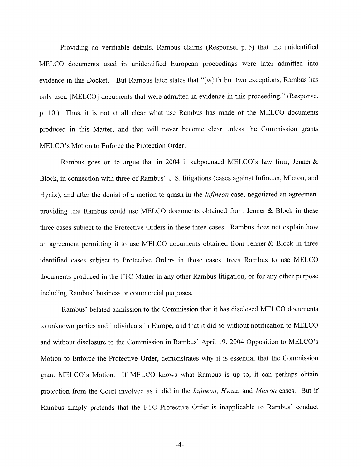Providing no verifiable details, Rambus claims (Response, p. 5) that the unidentified MELCO documents used in unidentified European proceedings were later admitted into evidence in this Docket. But Rambus later states that "[w]ith but two exceptions, Rambus has only used [MELCO] documents that were admitted in evidence in this proceeding." (Response, p. 10.) Thus, it is not at all clear what use Rambus has made of the MELCO documents produced in this Matter, and that will never become clear unless the Commission grants MELCO's Motion to Enforce the Protection Order.

Rambus goes on to argue that in 2004 it subpoenaed MELCO's law firm, Jenner & Block, in connection with three of Rambus' U.S. litigations (cases against Infineon, Micron, and Hynix), and after the denial of a motion to quash in the *Infineon* case, negotiated an agreement providing that Rambus could use MELCO documents obtained from Jenner & Block in these three cases subject to the Protective Orders in these three cases. Rambus does not explain how an agreement permitting it to use MELCO documents obtained from Jenner & Block in three identified cases subject to Protective Orders in those cases, frees Rambus to use MELCO documents produced in the FTC Matter in any other Rambus litigation, or for any other purpose including Rambus' business or commercial purposes.

Rambus' belated admission to the Commission that it has disclosed MELCO documents to unknown parties and individuals in Europe, and that it did so without notification to MELCO and without disclosure to the Commission in Rambus' April 19, 2004 Opposition to MELCO's Motion to Enforce the Protective Order, demonstrates why it is essential that the Commission grant MELCO's Motion. If MELCO knows what Rambus is up to, it can perhaps obtain protection from the Court involved as it did in the *Infineon*, *Hynix*, and *Micron* cases. But if Rambus simply pretends that the FTC Protective Order is inapplicable to Rambus' conduct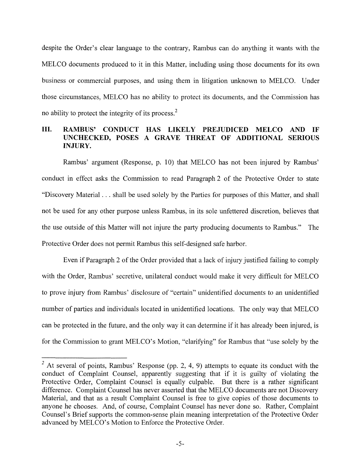despite the Order's clear language to the contrary, Rambus can do anything it wants with the MELCO documents produced to it in this Matter, including using those documents for its own business or commercial purposes, and using them in litigation unknown to MELCO. Under those circumstances, MELCO has no ability to protect its documents, and the Commission has no ability to protect the integrity of its process.<sup>2</sup>

# **111. RAIMBUS' CONDUCT HAS LIKELY PREJUDICED MELCO AND IF UNCHECKED, POSES A GRAVE THREAT OF ADDITIONAL SERIOUS INJURY.**

Rambus' argument (Response, p. 10) that MELCO has not been injured by Rambus' conduct in effect asks the Commission to read Paragraph 2 of the Protective Order to state "Discovery Material . . . shall be used solely by the Parties for purposes of this Matter, and shall not be used for any other purpose unless Rambus, in its sole unfettered discretion, believes that the use outside of this Matter will not injure the party producing documents to Rambus." The Protective Order does not permit Rambus this self-designed safe harbor.

Even if Paragraph 2 of the Order provided that a lack of injury justified failing to comply with the Order, Rambus' secretive, unilateral conduct would make it very difficult for MELCO to prove injury from Rambus' disclosure of "certain" unidentified documents to an unidentified number of parties and individuals located in unidentified locations. The only way that MELCO can be protected in the future, and the only way it can determine if it has already been injured, is for the Commission to grant MELCO's Motion, "clarifying" for Rambus that "use solely by the

 $<sup>2</sup>$  At several of points, Rambus' Response (pp. 2, 4, 9) attempts to equate its conduct with the</sup> conduct of Complaint Counsel, apparently suggesting that if it is guilty of violating the Protective Order, Complaint Counsel is equally culpable. But there is a rather significant difference. Complaint Counsel has never asserted that the MELCO documents are not Discovery Material, and that as a result Complaint Counsel is free to give copies of those documents to anyone he chooses. And, of course, Complaint Counsel has never done so. Rather, Complaint Counsel's Brief supports the common-sense plain meaning interpretation of the Protective Order advanced by MELCO's Motion to Enforce the Protective Order.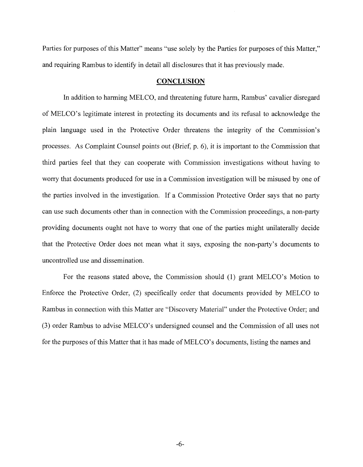Parties for purposes of this Matter" means "use solely by the Parties for purposes of this Matter," and requiring Rambus to identify in detail all disclosures that it has previously made.

#### **CONCLUSION**

In addition to harming MELCO, and threatening future harm, Rambus' cavalier disregard of MELCO's legitimate interest in protecting its documents and its refusal to acknowledge the plain language used in the Protective Order threatens the integrity of the Commission's processes. As Complaint Counsel points out (Brief, p. 6), it is important to the Commission that third parties feel that they can cooperate with Commission investigations without having to worry that documents produced for use in a Commission investigation will be misused by one of the parties involved in the investigation. If a Commission Protective Order says that no party can use such documents other than in connection with the Commission proceedings, a non-party providing documents ought not have to worry that one of the parties might unilaterally decide that the Protective Order does not mean what it says, exposing the non-party's documents to uncontrolled use and dissemination.

For the reasons stated above, the Commission should (1) grant MELCO's Motion to Enforce the Protective Order, (2) specifically order that documents provided by MELCO to Rambus in connection with this Matter are "Discovery Material" under the Protective Order; and (3) order Rambus to advise MELCO's undersigned counsel and the Commission of all uses not for the purposes of this Matter that it has made of MELCO's documents, listing the names and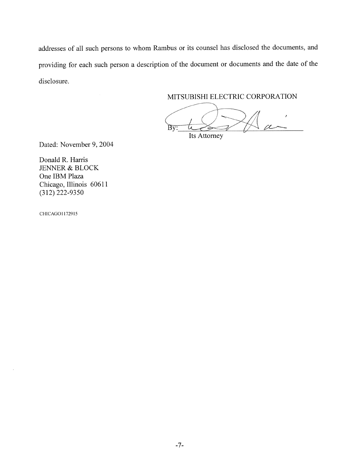addresses of all such persons to whom Rambus or its counsel has disclosed the documents, and providing for each such person a description of the document or documents and the date of the disclosure.

# MITSUBISHI ELECTRIC CORPORATION

 $\alpha$  $\overline{\rm BV}$ Its Attorney

Dated: November 9,2004

Donald R. Harris JENNER & BLOCK One IBM Plaza Chicago, Illinois 60611 (3 12) 222-9350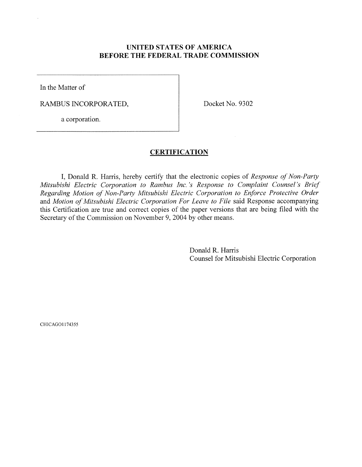In the Matter of

RAMBUS INCORPORATED,

Docket No. 9302

a corporation.

# **CERTIFICATION**

I, Donald R. Harris, hereby certify that the electronic copies of *Response of Non-Party Mitsubishi Electric Corporation to Rarnbus Inc.* S *Response to Complaint Counsel's Brief Regarding Motion of Non-Party Mitsubishi Electric Corporation to Enforce Protective Order*  and *Motion of Mitsubishi Electric Corporation For Leave to File* said Response accompanying this Certification are true and correct copies of the paper versions that are being filed with the Secretary of the Commission on November 9, 2004 by other means.

> Donald R. Harris Counsel for Mitsubishi Electric Corporation